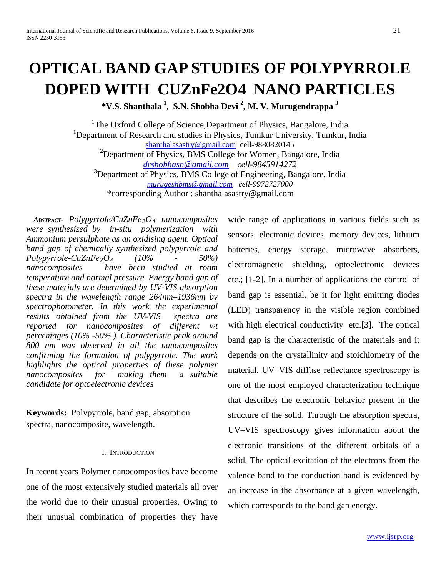# **OPTICAL BAND GAP STUDIES OF POLYPYRROLE DOPED WITH CUZnFe2O4 NANO PARTICLES**

**\*V.S. Shanthala <sup>1</sup> , S.N. Shobha Devi <sup>2</sup> , M. V. Murugendrappa <sup>3</sup>**

<sup>1</sup>The Oxford College of Science, Department of Physics, Bangalore, India <sup>1</sup>Department of Research and studies in Physics, Tumkur University, Tumkur, India [shanthalasastry@gmail.com](mailto:shanthalasastry@gmail.com) cell-9880820145 <sup>2</sup>Department of Physics, BMS College for Women, Bangalore, India *[drshobhasn@gmail.com](mailto:drshobhasn@gmail.com) cell-9845914272* <sup>3</sup>Department of Physics, BMS College of Engineering, Bangalore, India *[murugeshbms@gmail.com](mailto:murugeshbms@gmail.com) cell-9972727000* \*corresponding Author : shanthalasastry@gmail.com

*ABSTRACT***-** *Polypyrrole/CuZnFe2O4 nanocomposites were synthesized by in-situ polymerization with Ammonium persulphate as an oxidising agent. Optical band gap of chemically synthesized polypyrrole and Polypyrrole-CuZnFe2O4 (10% - 50%) nanocomposites have been studied at room temperature and normal pressure. Energy band gap of these materials are determined by UV-VIS absorption spectra in the wavelength range 264nm–1936nm by spectrophotometer. In this work the experimental results obtained from the UV-VIS spectra are reported for nanocomposites of different wt percentages (10% -50%.). Characteristic peak around 800 nm was observed in all the nanocomposites confirming the formation of polypyrrole. The work highlights the optical properties of these polymer nanocomposites for making them a suitable candidate for optoelectronic devices*

**Keywords:** Polypyrrole, band gap, absorption spectra, nanocomposite, wavelength.

#### I. INTRODUCTION

In recent years Polymer nanocomposites have become one of the most extensively studied materials all over the world due to their unusual properties. Owing to their unusual combination of properties they have wide range of applications in various fields such as sensors, electronic devices, memory devices, lithium batteries, energy storage, microwave absorbers, electromagnetic shielding, optoelectronic devices etc.; [1-2]. In a number of applications the control of band gap is essential, be it for light emitting diodes (LED) transparency in the visible region combined with high electrical conductivity etc.<sup>[3]</sup>. The optical band gap is the characteristic of the materials and it depends on the crystallinity and stoichiometry of the material. UV–VIS diffuse reflectance spectroscopy is one of the most employed characterization technique that describes the electronic behavior present in the structure of the solid. Through the absorption spectra, UV–VIS spectroscopy gives information about the electronic transitions of the different orbitals of a solid. The optical excitation of the electrons from the valence band to the conduction band is evidenced by an increase in the absorbance at a given wavelength, which corresponds to the band gap energy.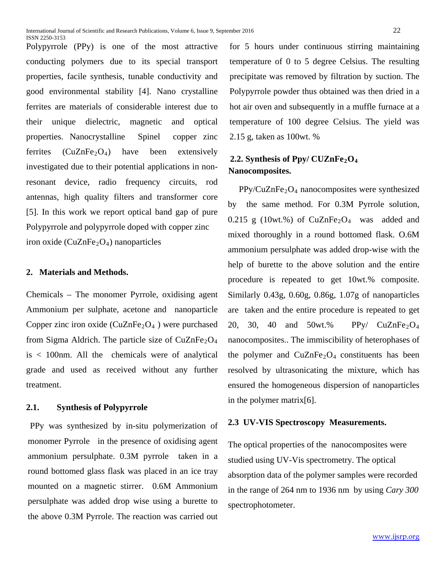Polypyrrole (PPy) is one of the most attractive conducting polymers due to its special transport properties, facile synthesis, tunable conductivity and good environmental stability [4]. Nano crystalline ferrites are materials of considerable interest due to their unique dielectric, magnetic and optical properties. Nanocrystalline Spinel copper zinc ferrites  $(CuZnFe<sub>2</sub>O<sub>4</sub>)$  have been extensively investigated due to their potential applications in nonresonant device, radio frequency circuits, rod antennas, high quality filters and transformer core [5]. In this work we report optical band gap of pure Polypyrrole and polypyrrole doped with copper zinc iron oxide ( $CuZnFe<sub>2</sub>O<sub>4</sub>$ ) nanoparticles

### **2. Materials and Methods.**

ISSN 2250-3153

Chemicals – The monomer Pyrrole, oxidising agent Ammonium per sulphate, acetone and nanoparticle Copper zinc iron oxide  $(CuZnFe<sub>2</sub>O<sub>4</sub>)$  were purchased from Sigma Aldrich. The particle size of  $CuZnFe<sub>2</sub>O<sub>4</sub>$ is < 100nm. All the chemicals were of analytical grade and used as received without any further treatment.

# **2.1. Synthesis of Polypyrrole**

PPy was synthesized by in-situ polymerization of monomer Pyrrole in the presence of oxidising agent ammonium persulphate. 0.3M pyrrole taken in a round bottomed glass flask was placed in an ice tray mounted on a magnetic stirrer. 0.6M Ammonium persulphate was added drop wise using a burette to the above 0.3M Pyrrole. The reaction was carried out for 5 hours under continuous stirring maintaining temperature of 0 to 5 degree Celsius. The resulting precipitate was removed by filtration by suction. The Polypyrrole powder thus obtained was then dried in a hot air oven and subsequently in a muffle furnace at a temperature of 100 degree Celsius. The yield was 2.15 g, taken as 100wt. %

# **2.2. Synthesis of Ppy/ CUZnFe<sub>2</sub>O<sub>4</sub> Nanocomposites.**

 $PPy/CuZnFe<sub>2</sub>O<sub>4</sub>$  nanocomposites were synthesized by the same method. For 0.3M Pyrrole solution, 0.215 g (10wt.%) of  $CuZnFe<sub>2</sub>O<sub>4</sub>$  was added and mixed thoroughly in a round bottomed flask. O.6M ammonium persulphate was added drop-wise with the help of burette to the above solution and the entire procedure is repeated to get 10wt.% composite. Similarly 0.43g, 0.60g, 0.86g, 1.07g of nanoparticles are taken and the entire procedure is repeated to get 20, 30, 40 and 50wt.% PPy/  $CuZnFe<sub>2</sub>O<sub>4</sub>$ nanocomposites.. The immiscibility of heterophases of the polymer and  $CuZnFe<sub>2</sub>O<sub>4</sub>$  constituents has been resolved by ultrasonicating the mixture, which has ensured the homogeneous dispersion of nanoparticles in the polymer matrix[6].

# **2.3 UV-VIS Spectroscopy Measurements.**

The optical properties of the nanocomposites were studied using UV-Vis spectrometry. The optical absorption data of the polymer samples were recorded in the range of 264 nm to 1936 nm by using *Cary 300*  spectrophotometer.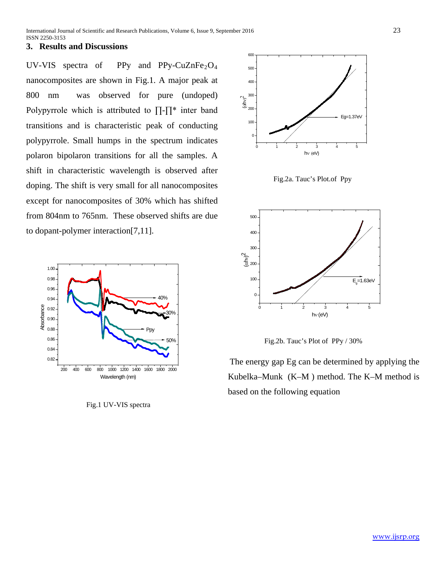# **3. Results and Discussions**

UV-VIS spectra of PPy and PPy-CuZnFe<sub>2</sub>O<sub>4</sub> nanocomposites are shown in Fig.1. A major peak at 800 nm was observed for pure (undoped) Polypyrrole which is attributed to ∏-∏\* inter band transitions and is characteristic peak of conducting polypyrrole. Small humps in the spectrum indicates polaron bipolaron transitions for all the samples. A shift in characteristic wavelength is observed after doping. The shift is very small for all nanocomposites except for nanocomposites of 30% which has shifted from 804nm to 765nm. These observed shifts are due to dopant-polymer interaction[7,11].



Fig.1 UV-VIS spectra



Fig.2a. Tauc's Plot.of Ppy



Fig.2b. Tauc's Plot of PPy / 30%

The energy gap Eg can be determined by applying the Kubelka–Munk (K–M ) method. The K–M method is based on the following equation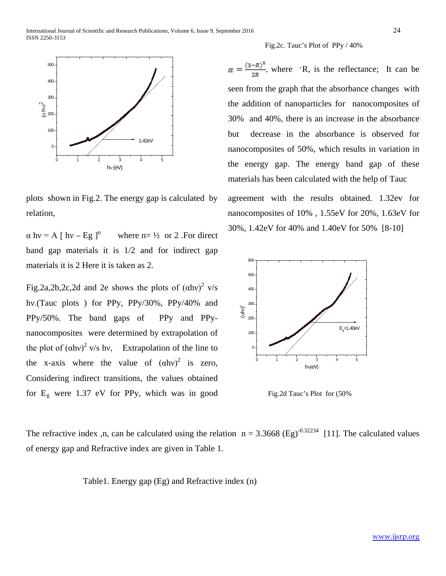

#### Fig.2c. Tauc's Plot of PPy / 40%

 $\alpha = \frac{(1 - R)^2}{2R}$ , where 'R, is the reflectance; It can be seen from the graph that the absorbance changes with the addition of nanoparticles for nanocomposites of 30% and 40%, there is an increase in the absorbance but decrease in the absorbance is observed for nanocomposites of 50%, which results in variation in the energy gap. The energy band gap of these materials has been calculated with the help of Tauc

agreement with the results obtained. 1.32ev for nanocomposites of 10% , 1.55eV for 20%, 1.63eV for 30%, 1.42eV for 40% and 1.40eV for 50% [8-10]



Fig.2d Tauc's Plot for (50%

The refractive index ,n, can be calculated using the relation  $n = 3.3668$  (Eg)<sup>-0.32234</sup> [11]. The calculated values of energy gap and Refractive index are given in Table 1.

Table1. Energy gap (Eg) and Refractive index (n)

plots shown in Fig.2. The energy gap is calculated by relation,

 $\alpha$  hv = A [ hv – Eg ]<sup>n</sup> where n= ½ or 2 .For direct band gap materials it is 1/2 and for indirect gap materials it is 2 Here it is taken as 2.

Fig.2a,2b,2c,2d and 2e shows the plots of  $(ahv)^2$  v/s hν.(Tauc plots ) for PPy, PPy/30%, PPy/40% and PPy/50%. The band gaps of PPy and PPynanocomposites were determined by extrapolation of the plot of  $(ahv)^2$  v/s hv, Extrapolation of the line to the x-axis where the value of  $(ahv)^2$  is zero, Considering indirect transitions, the values obtained for  $E<sub>g</sub>$  were 1.37 eV for PPy, which was in good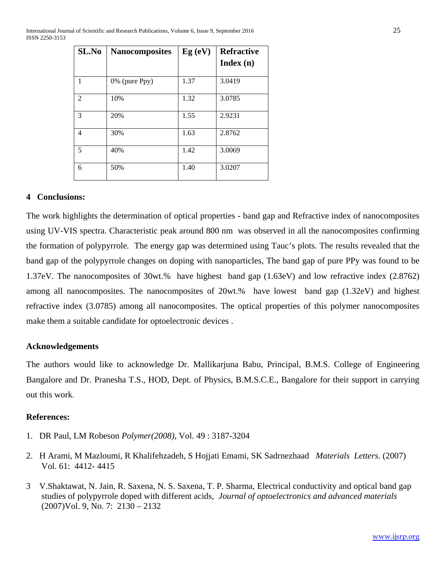International Journal of Scientific and Research Publications, Volume 6, Issue 9, September 2016 25 ISSN 2250-3153

| SL.No          | <b>Nanocomposites</b> | Eg(eV) | <b>Refractive</b><br>Index(n) |
|----------------|-----------------------|--------|-------------------------------|
| 1              | $0\%$ (pure Ppy)      | 1.37   | 3.0419                        |
| 2              | 10%                   | 1.32   | 3.0785                        |
| 3              | 20%                   | 1.55   | 2.9231                        |
| $\overline{4}$ | 30%                   | 1.63   | 2.8762                        |
| 5              | 40%                   | 1.42   | 3.0069                        |
| 6              | 50%                   | 1.40   | 3.0207                        |

### **4 Conclusions:**

The work highlights the determination of optical properties - band gap and Refractive index of nanocomposites using UV-VIS spectra. Characteristic peak around 800 nm was observed in all the nanocomposites confirming the formation of polypyrrole*.* The energy gap was determined using Tauc's plots. The results revealed that the band gap of the polypyrrole changes on doping with nanoparticles, The band gap of pure PPy was found to be 1.37eV. The nanocomposites of 30wt.% have highest band gap (1.63eV) and low refractive index (2.8762) among all nanocomposites. The nanocomposites of 20wt.% have lowest band gap (1.32eV) and highest refractive index (3.0785) among all nanocomposites. The optical properties of this polymer nanocomposites make them a suitable candidate for optoelectronic devices .

# **Acknowledgements**

The authors would like to acknowledge Dr. Mallikarjuna Babu, Principal, B.M.S. College of Engineering Bangalore and Dr. Pranesha T.S., HOD, Dept. of Physics, B.M.S.C.E., Bangalore for their support in carrying out this work.

# **References:**

- 1. DR Paul, LM Robeson *Polymer(2008),* Vol. 49 : 3187-3204
- 2. H Arami, M Mazloumi, R Khalifehzadeh, S Hojjati Emami, SK Sadrnezhaad *Materials Letters*. (2007) Vol. 61: 4412- 4415
- 3 V.Shaktawat, N. Jain, R. Saxena, N. S. Saxena, T. P. Sharma, Electrical conductivity and optical band gap studies of polypyrrole doped with different acids*, Journal of optoelectronics and advanced materials* (2007)Vol. 9, No. 7: 2130 – 2132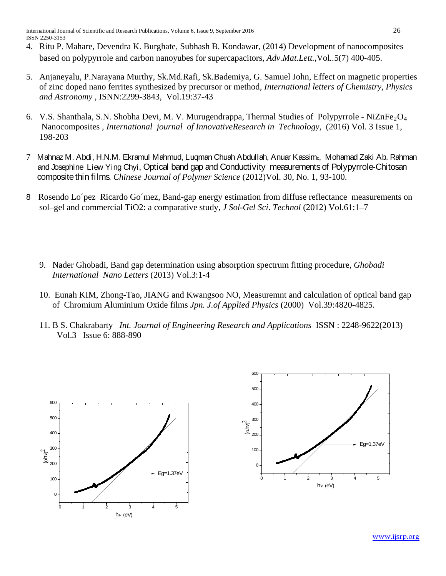- 4. Ritu P. Mahare, Devendra K. Burghate, Subhash B. Kondawar, (2014) Development of nanocomposites based on polypyrrole and carbon nanoyubes for supercapacitors, *Adv.Mat.Lett.,*Vol*..*5(7) 400-405.
- 5. Anjaneyalu, P.Narayana Murthy, Sk.Md.Rafi, Sk.Bademiya, G. Samuel John, Effect on magnetic properties of zinc doped nano ferrites synthesized by precursor or method, *International letters of Chemistry, Physics and Astronomy* , ISNN:2299-3843, Vol.19:37-43
- 6. V.S. Shanthala, S.N. Shobha Devi, M. V. Murugendrappa, Thermal Studies of Polypyrrole NiZnFe<sub>2</sub>O<sub>4</sub> Nanocomposites , *International journal of InnovativeResearch in Technology,* (2016) Vol. 3 Issue 1, 198-203
- 7 Mahnaz M. Abdi, H.N.M. Ekramul Mahmud, Luqman Chuah Abdullah, Anuar Kassimc, Mohamad Zaki Ab. Rahman and Josephine Liew Ying Chyi, Optical band gap and Conductivity measurements of Polypyrrole-Chitosan composite thin films. *Chinese Journal of Polymer Science* (2012)Vol. 30, No. 1, 93-100.
- 8 Rosendo Lo´pez Ricardo Go´mez, Band-gap energy estimation from diffuse reflectance measurements on sol–gel and commercial TiO2: a comparative study*, J Sol-Gel Sci*. *Technol* (2012) Vol.61:1–7
	- 9. Nader Ghobadi, Band gap determination using absorption spectrum fitting procedure, *Ghobadi International Nano Letters* (2013) Vol.3:1-4
	- 10. Eunah KIM, Zhong-Tao, JIANG and Kwangsoo NO, Measuremnt and calculation of optical band gap of Chromium Aluminium Oxide films *Jpn. J.of Applied Physics* (2000) Vol.39:4820-4825.
	- 11. B S. Chakrabarty *Int. Journal of Engineering Research and Applications* ISSN : 2248-9622(2013) Vol.3 Issue 6: 888-890